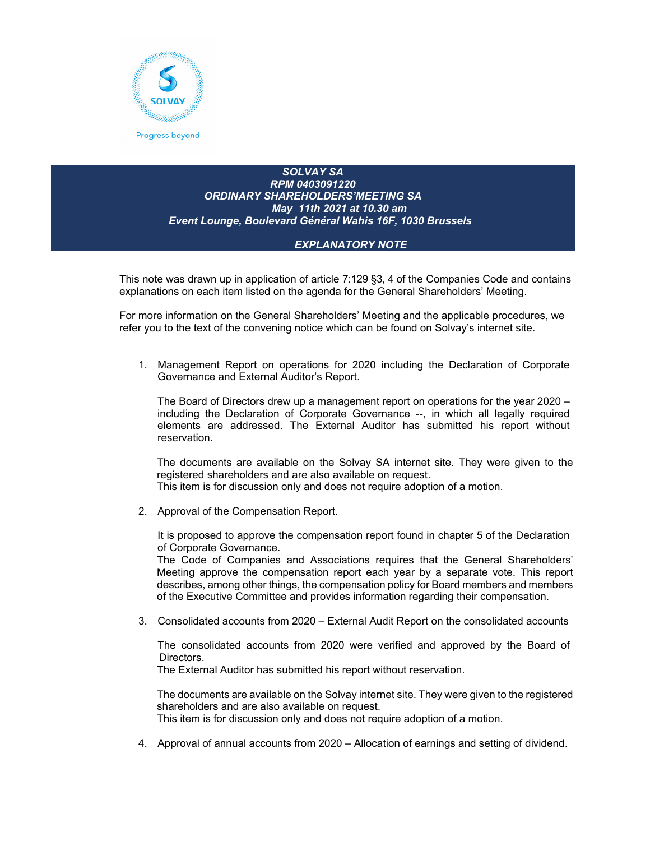

## *SOLVAY SA RPM 0403091220 ORDINARY SHAREHOLDERS'MEETING SA May 11th 2021 at 10.30 am Event Lounge, Boulevard Général Wahis 16F, 1030 Brussels*

## *EXPLANATORY NOTE*

This note was drawn up in application of article 7:129 §3, 4 of the Companies Code and contains explanations on each item listed on the agenda for the General Shareholders' Meeting.

For more information on the General Shareholders' Meeting and the applicable procedures, we refer you to the text of the convening notice which can be found on Solvay's internet site.

1. Management Report on operations for 2020 including the Declaration of Corporate Governance and External Auditor's Report.

The Board of Directors drew up a management report on operations for the year 2020 – including the Declaration of Corporate Governance --, in which all legally required elements are addressed. The External Auditor has submitted his report without reservation.

The documents are available on the Solvay SA internet site. They were given to the registered shareholders and are also available on request.

This item is for discussion only and does not require adoption of a motion.

2. Approval of the Compensation Report.

It is proposed to approve the compensation report found in chapter 5 of the Declaration of Corporate Governance.

The Code of Companies and Associations requires that the General Shareholders' Meeting approve the compensation report each year by a separate vote. This report describes, among other things, the compensation policy for Board members and members of the Executive Committee and provides information regarding their compensation.

3. Consolidated accounts from 2020 – External Audit Report on the consolidated accounts

 The consolidated accounts from 2020 were verified and approved by the Board of Directors.

The External Auditor has submitted his report without reservation.

The documents are available on the Solvay internet site. They were given to the registered shareholders and are also available on request. This item is for discussion only and does not require adoption of a motion.

4. Approval of annual accounts from 2020 – Allocation of earnings and setting of dividend.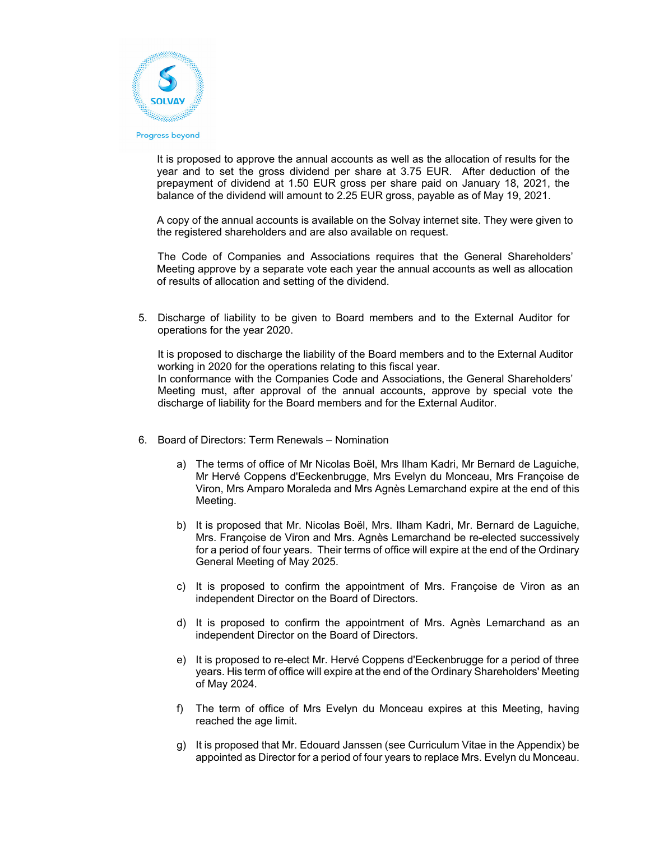

It is proposed to approve the annual accounts as well as the allocation of results for the year and to set the gross dividend per share at 3.75 EUR. After deduction of the prepayment of dividend at 1.50 EUR gross per share paid on January 18, 2021, the balance of the dividend will amount to 2.25 EUR gross, payable as of May 19, 2021.

A copy of the annual accounts is available on the Solvay internet site. They were given to the registered shareholders and are also available on request.

The Code of Companies and Associations requires that the General Shareholders' Meeting approve by a separate vote each year the annual accounts as well as allocation of results of allocation and setting of the dividend.

5. Discharge of liability to be given to Board members and to the External Auditor for operations for the year 2020.

It is proposed to discharge the liability of the Board members and to the External Auditor working in 2020 for the operations relating to this fiscal year.

In conformance with the Companies Code and Associations, the General Shareholders' Meeting must, after approval of the annual accounts, approve by special vote the discharge of liability for the Board members and for the External Auditor.

- 6. Board of Directors: Term Renewals Nomination
	- a) The terms of office of Mr Nicolas Boël, Mrs Ilham Kadri, Mr Bernard de Laguiche, Mr Hervé Coppens d'Eeckenbrugge, Mrs Evelyn du Monceau, Mrs Françoise de Viron, Mrs Amparo Moraleda and Mrs Agnès Lemarchand expire at the end of this Meeting.
	- b) It is proposed that Mr. Nicolas Boël, Mrs. Ilham Kadri, Mr. Bernard de Laguiche, Mrs. Françoise de Viron and Mrs. Agnès Lemarchand be re-elected successively for a period of four years. Their terms of office will expire at the end of the Ordinary General Meeting of May 2025.
	- c) It is proposed to confirm the appointment of Mrs. Françoise de Viron as an independent Director on the Board of Directors.
	- d) It is proposed to confirm the appointment of Mrs. Agnès Lemarchand as an independent Director on the Board of Directors.
	- e) It is proposed to re-elect Mr. Hervé Coppens d'Eeckenbrugge for a period of three years. His term of office will expire at the end of the Ordinary Shareholders' Meeting of May 2024.
	- f) The term of office of Mrs Evelyn du Monceau expires at this Meeting, having reached the age limit.
	- g) It is proposed that Mr. Edouard Janssen (see Curriculum Vitae in the Appendix) be appointed as Director for a period of four years to replace Mrs. Evelyn du Monceau.